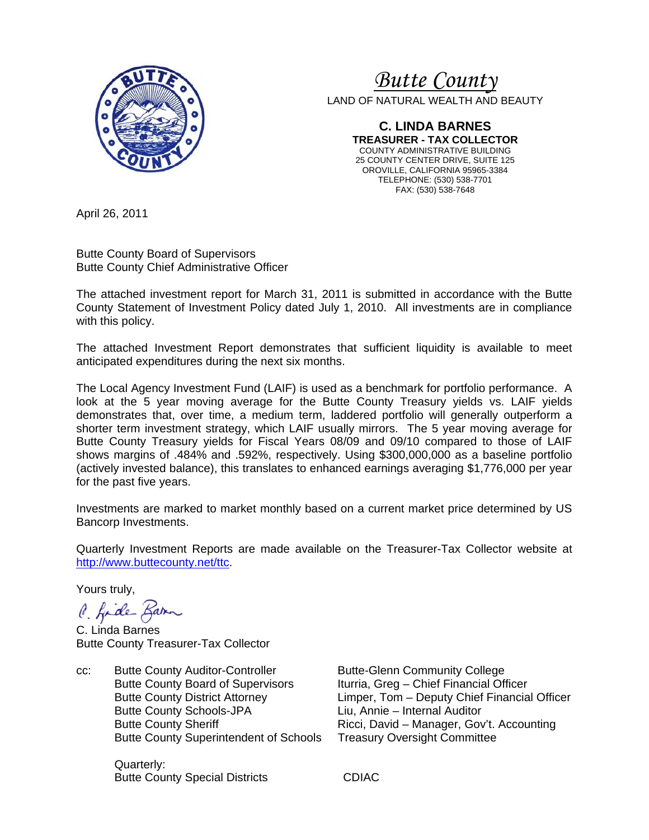

# *Butte County*

LAND OF NATURAL WEALTH AND BEAUTY

**C. LINDA BARNES TREASURER - TAX COLLECTOR**  COUNTY ADMINISTRATIVE BUILDING 25 COUNTY CENTER DRIVE, SUITE 125 OROVILLE, CALIFORNIA 95965-3384 TELEPHONE: (530) 538-7701 FAX: (530) 538-7648

April 26, 2011

Butte County Board of Supervisors Butte County Chief Administrative Officer

The attached investment report for March 31, 2011 is submitted in accordance with the Butte County Statement of Investment Policy dated July 1, 2010. All investments are in compliance with this policy.

The attached Investment Report demonstrates that sufficient liquidity is available to meet anticipated expenditures during the next six months.

The Local Agency Investment Fund (LAIF) is used as a benchmark for portfolio performance. A look at the 5 year moving average for the Butte County Treasury yields vs. LAIF yields demonstrates that, over time, a medium term, laddered portfolio will generally outperform a shorter term investment strategy, which LAIF usually mirrors. The 5 year moving average for Butte County Treasury yields for Fiscal Years 08/09 and 09/10 compared to those of LAIF shows margins of .484% and .592%, respectively. Using \$300,000,000 as a baseline portfolio (actively invested balance), this translates to enhanced earnings averaging \$1,776,000 per year for the past five years.

Investments are marked to market monthly based on a current market price determined by US Bancorp Investments.

Quarterly Investment Reports are made available on the Treasurer-Tax Collector website at http://www.buttecounty.net/ttc.

Yours truly,

C. fide Barn

C. Linda Barnes Butte County Treasurer-Tax Collector

cc: Butte County Auditor-Controller Butte-Glenn Community College Butte County Board of Supervisors Iturria, Greg – Chief Financial Officer Butte County Schools-JPA Liu, Annie – Internal Auditor Butte County Superintendent of Schools Treasury Oversight Committee

 Quarterly: Butte County Special Districts **CDIAC** 

 Butte County District Attorney Limper, Tom – Deputy Chief Financial Officer Butte County Sheriff **Ricci, David – Manager, Gov't. Accounting**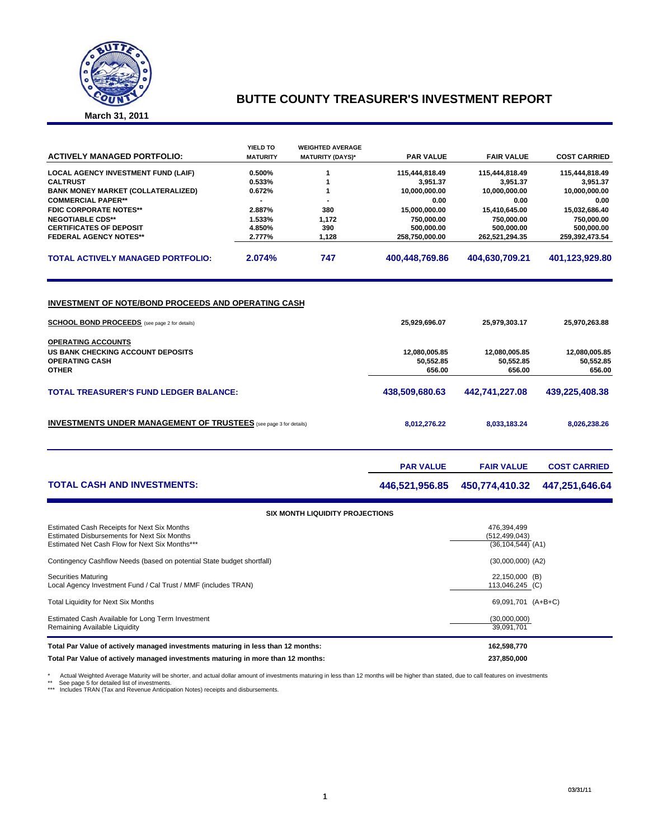

## **BUTTE COUNTY TREASURER'S INVESTMENT REPORT**

**March 31, 2011**

|                                                                                  | YIELD TO        | <b>WEIGHTED AVERAGE</b>                |                  |                       |                     |
|----------------------------------------------------------------------------------|-----------------|----------------------------------------|------------------|-----------------------|---------------------|
| <b>ACTIVELY MANAGED PORTFOLIO:</b>                                               | <b>MATURITY</b> | <b>MATURITY (DAYS)*</b>                | <b>PAR VALUE</b> | <b>FAIR VALUE</b>     | <b>COST CARRIED</b> |
| <b>LOCAL AGENCY INVESTMENT FUND (LAIF)</b>                                       | 0.500%          | 1                                      | 115,444,818.49   | 115,444,818.49        | 115,444,818.49      |
| <b>CALTRUST</b>                                                                  | 0.533%          | 1                                      | 3,951.37         | 3,951.37              | 3,951.37            |
| <b>BANK MONEY MARKET (COLLATERALIZED)</b>                                        | 0.672%          | 1                                      | 10,000,000.00    | 10,000,000.00         | 10,000,000.00       |
| <b>COMMERCIAL PAPER**</b>                                                        |                 |                                        | 0.00             | 0.00                  | 0.00                |
| <b>FDIC CORPORATE NOTES**</b>                                                    | 2.887%          | 380                                    | 15,000,000.00    | 15,410,645.00         | 15,032,686.40       |
| <b>NEGOTIABLE CDS**</b>                                                          | 1.533%          | 1,172                                  | 750,000.00       | 750,000.00            | 750,000.00          |
| <b>CERTIFICATES OF DEPOSIT</b>                                                   | 4.850%          | 390                                    | 500,000.00       | 500,000.00            | 500,000.00          |
| <b>FEDERAL AGENCY NOTES**</b>                                                    | 2.777%          | 1,128                                  | 258,750,000.00   | 262,521,294.35        | 259,392,473.54      |
| <b>TOTAL ACTIVELY MANAGED PORTFOLIO:</b>                                         | 2.074%          | 747                                    | 400,448,769.86   | 404,630,709.21        | 401,123,929.80      |
| <u>INVESTMENT OF NOTE/BOND PROCEEDS AND OPERATING CASH</u>                       |                 |                                        |                  |                       |                     |
|                                                                                  |                 |                                        |                  |                       |                     |
| <b>SCHOOL BOND PROCEEDS</b> (see page 2 for details)                             |                 |                                        | 25,929,696.07    | 25,979,303.17         | 25,970,263.88       |
| <b>OPERATING ACCOUNTS</b>                                                        |                 |                                        |                  |                       |                     |
| <b>US BANK CHECKING ACCOUNT DEPOSITS</b>                                         |                 |                                        | 12,080,005.85    | 12,080,005.85         | 12,080,005.85       |
| <b>OPERATING CASH</b>                                                            |                 |                                        | 50,552.85        | 50,552.85             | 50,552.85           |
| <b>OTHER</b>                                                                     |                 |                                        | 656.00           | 656.00                | 656.00              |
|                                                                                  |                 |                                        |                  |                       |                     |
| <b>TOTAL TREASURER'S FUND LEDGER BALANCE:</b>                                    |                 |                                        | 438,509,680.63   | 442,741,227.08        | 439,225,408.38      |
| <b>INVESTMENTS UNDER MANAGEMENT OF TRUSTEES</b> (see page 3 for details)         |                 |                                        | 8,012,276.22     | 8,033,183.24          | 8,026,238.26        |
|                                                                                  |                 |                                        | <b>PAR VALUE</b> | <b>FAIR VALUE</b>     | <b>COST CARRIED</b> |
| <b>TOTAL CASH AND INVESTMENTS:</b>                                               |                 |                                        | 446,521,956.85   | 450,774,410.32        | 447,251,646.64      |
|                                                                                  |                 | <b>SIX MONTH LIQUIDITY PROJECTIONS</b> |                  |                       |                     |
| Estimated Cash Receipts for Next Six Months                                      |                 |                                        |                  | 476,394,499           |                     |
| <b>Estimated Disbursements for Next Six Months</b>                               |                 |                                        |                  | (512, 499, 043)       |                     |
| Estimated Net Cash Flow for Next Six Months***                                   |                 |                                        |                  | $(36, 104, 544)$ (A1) |                     |
| Contingency Cashflow Needs (based on potential State budget shortfall)           |                 | $(30,000,000)$ $(A2)$                  |                  |                       |                     |
| <b>Securities Maturing</b>                                                       |                 |                                        | 22,150,000 (B)   |                       |                     |
| Local Agency Investment Fund / Cal Trust / MMF (includes TRAN)                   |                 |                                        |                  | 113,046,245 (C)       |                     |
| Total Liquidity for Next Six Months                                              |                 | 69,091,701 (A+B+C)                     |                  |                       |                     |
| Estimated Cash Available for Long Term Investment                                |                 |                                        |                  | (30,000,000)          |                     |
| Remaining Available Liquidity                                                    |                 |                                        |                  | 39,091,701            |                     |
| Total Par Value of actively managed investments maturing in less than 12 months: |                 |                                        |                  | 162,598,770           |                     |

**Total Par Value of actively managed investments maturing in more than 12 months: 237,850,000**

\* Actual Weighted Average Maturity will be shorter, and actual dollar amount of investments maturing in less than 12 months will be higher than stated, due to call features on investments<br>\*\* See page 5 for detailed list of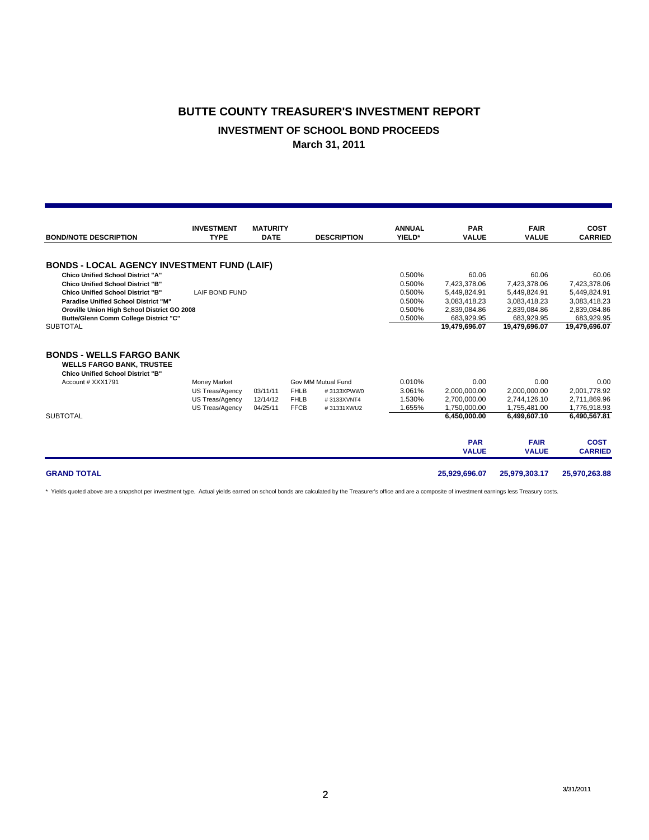## **BUTTE COUNTY TREASURER'S INVESTMENT REPORT**

### **INVESTMENT OF SCHOOL BOND PROCEEDS**

**March 31, 2011**

|                                                                     | <b>INVESTMENT</b>   | <b>MATURITY</b> |             |                    | <b>ANNUAL</b> | <b>PAR</b>    | <b>FAIR</b>   | <b>COST</b>    |
|---------------------------------------------------------------------|---------------------|-----------------|-------------|--------------------|---------------|---------------|---------------|----------------|
| <b>BOND/NOTE DESCRIPTION</b>                                        | <b>TYPE</b>         | <b>DATE</b>     |             | <b>DESCRIPTION</b> | YIELD*        | <b>VALUE</b>  | <b>VALUE</b>  | <b>CARRIED</b> |
| <b>BONDS - LOCAL AGENCY INVESTMENT FUND (LAIF)</b>                  |                     |                 |             |                    |               |               |               |                |
| <b>Chico Unified School District "A"</b>                            |                     |                 |             |                    | 0.500%        | 60.06         | 60.06         | 60.06          |
| <b>Chico Unified School District "B"</b>                            |                     |                 |             |                    | 0.500%        | 7.423.378.06  | 7,423,378.06  | 7,423,378.06   |
| <b>Chico Unified School District "B"</b>                            | LAIF BOND FUND      |                 |             |                    | 0.500%        | 5,449,824.91  | 5,449,824.91  | 5,449,824.91   |
| <b>Paradise Unified School District "M"</b>                         |                     |                 |             |                    | 0.500%        | 3,083,418.23  | 3,083,418.23  | 3,083,418.23   |
| Oroville Union High School District GO 2008                         |                     |                 |             |                    | 0.500%        | 2.839.084.86  | 2.839.084.86  | 2,839,084.86   |
| Butte/Glenn Comm College District "C"                               |                     |                 |             |                    | 0.500%        | 683,929.95    | 683,929.95    | 683,929.95     |
| <b>SUBTOTAL</b>                                                     |                     |                 |             |                    |               | 19,479,696.07 | 19,479,696.07 | 19,479,696.07  |
| <b>BONDS - WELLS FARGO BANK</b><br><b>WELLS FARGO BANK, TRUSTEE</b> |                     |                 |             |                    |               |               |               |                |
| <b>Chico Unified School District "B"</b><br>Account # XXX1791       | <b>Money Market</b> |                 |             | Gov MM Mutual Fund | 0.010%        | 0.00          | 0.00          | 0.00           |
|                                                                     | US Treas/Agency     | 03/11/11        | <b>FHLB</b> | #3133XPWW0         | 3.061%        | 2,000,000.00  | 2,000,000.00  | 2,001,778.92   |
|                                                                     | US Treas/Agency     | 12/14/12        | <b>FHLB</b> | #3133XVNT4         | 1.530%        | 2.700.000.00  | 2,744,126.10  | 2,711,869.96   |
|                                                                     | US Treas/Agency     | 04/25/11        | <b>FFCB</b> | #31331XWU2         | 1.655%        | 1,750,000.00  | 1,755,481.00  | 1,776,918.93   |
| <b>SUBTOTAL</b>                                                     |                     |                 |             |                    |               | 6.450.000.00  | 6,499,607.10  | 6,490,567.81   |
|                                                                     |                     |                 |             |                    |               | <b>PAR</b>    | <b>FAIR</b>   | <b>COST</b>    |
|                                                                     |                     |                 |             |                    |               | <b>VALUE</b>  | <b>VALUE</b>  | <b>CARRIED</b> |
|                                                                     |                     |                 |             |                    |               |               |               |                |
| <b>GRAND TOTAL</b>                                                  |                     |                 |             |                    |               | 25,929,696.07 | 25,979,303.17 | 25,970,263.88  |

\* Yields quoted above are a snapshot per investment type. Actual yields earned on school bonds are calculated by the Treasurer's office and are a composite of investment earnings less Treasury costs.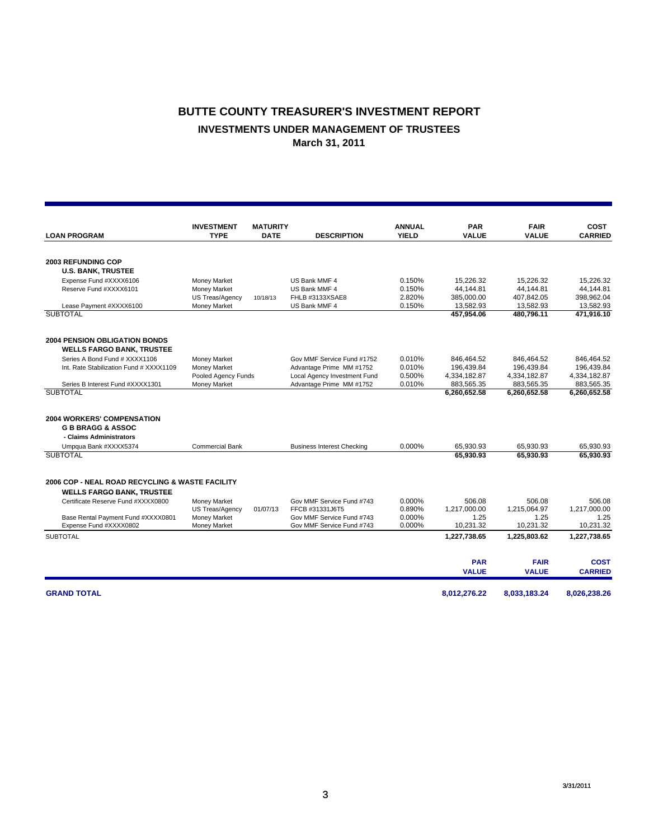## **BUTTE COUNTY TREASURER'S INVESTMENT REPORT INVESTMENTS UNDER MANAGEMENT OF TRUSTEES March 31, 2011**

|                                                 | <b>INVESTMENT</b>      | <b>MATURITY</b> |                                   | <b>ANNUAL</b> | <b>PAR</b>             | <b>FAIR</b>            | <b>COST</b>    |
|-------------------------------------------------|------------------------|-----------------|-----------------------------------|---------------|------------------------|------------------------|----------------|
| <b>LOAN PROGRAM</b>                             | <b>TYPE</b>            | <b>DATE</b>     | <b>DESCRIPTION</b>                | <b>YIELD</b>  | <b>VALUE</b>           | <b>VALUE</b>           | <b>CARRIED</b> |
|                                                 |                        |                 |                                   |               |                        |                        |                |
| <b>2003 REFUNDING COP</b>                       |                        |                 |                                   |               |                        |                        |                |
| <b>U.S. BANK, TRUSTEE</b>                       |                        |                 |                                   |               |                        |                        |                |
| Expense Fund #XXXX6106                          | Money Market           |                 | US Bank MMF 4                     | 0.150%        | 15.226.32              | 15.226.32              | 15.226.32      |
| Reserve Fund #XXXX6101                          | Money Market           |                 | US Bank MMF 4                     | 0.150%        | 44.144.81              | 44.144.81              | 44.144.81      |
|                                                 | US Treas/Agency        | 10/18/13        | FHLB #3133XSAE8                   | 2.820%        | 385,000.00             | 407,842.05             | 398,962.04     |
| Lease Payment #XXXX6100                         | Money Market           |                 | US Bank MMF 4                     | 0.150%        | 13,582.93              | 13.582.93              | 13,582.93      |
| <b>SUBTOTAL</b>                                 |                        |                 |                                   |               | 457,954.06             | 480,796.11             | 471,916.10     |
| <b>2004 PENSION OBLIGATION BONDS</b>            |                        |                 |                                   |               |                        |                        |                |
| <b>WELLS FARGO BANK, TRUSTEE</b>                |                        |                 |                                   |               |                        |                        |                |
| Series A Bond Fund # XXXX1106                   | Money Market           |                 | Gov MMF Service Fund #1752        | 0.010%        | 846,464.52             | 846.464.52             | 846.464.52     |
| Int. Rate Stabilization Fund # XXXX1109         | Money Market           |                 | Advantage Prime MM #1752          | 0.010%        | 196,439.84             | 196,439.84             | 196,439.84     |
|                                                 | Pooled Agency Funds    |                 | Local Agency Investment Fund      | 0.500%        | 4,334,182.87           | 4,334,182.87           | 4,334,182.87   |
| Series B Interest Fund #XXXX1301                | Money Market           |                 | Advantage Prime MM #1752          | 0.010%        | 883,565.35             | 883,565.35             | 883,565.35     |
| <b>SUBTOTAL</b>                                 |                        |                 |                                   |               | 6,260,652.58           | 6,260,652.58           | 6,260,652.58   |
| <b>2004 WORKERS' COMPENSATION</b>               |                        |                 |                                   |               |                        |                        |                |
| <b>G B BRAGG &amp; ASSOC</b>                    |                        |                 |                                   |               |                        |                        |                |
| - Claims Administrators                         |                        |                 |                                   |               |                        |                        |                |
|                                                 | <b>Commercial Bank</b> |                 |                                   | 0.000%        |                        |                        | 65.930.93      |
| Umpqua Bank #XXXX5374<br><b>SUBTOTAL</b>        |                        |                 | <b>Business Interest Checking</b> |               | 65,930.93<br>65.930.93 | 65,930.93<br>65.930.93 | 65,930.93      |
|                                                 |                        |                 |                                   |               |                        |                        |                |
| 2006 COP - NEAL ROAD RECYCLING & WASTE FACILITY |                        |                 |                                   |               |                        |                        |                |
| <b>WELLS FARGO BANK, TRUSTEE</b>                |                        |                 |                                   |               |                        |                        |                |
| Certificate Reserve Fund #XXXX0800              | Money Market           |                 | Gov MMF Service Fund #743         | 0.000%        | 506.08                 | 506.08                 | 506.08         |
|                                                 | <b>US Treas/Agency</b> | 01/07/13        | FFCB #31331J6T5                   | 0.890%        | 1.217.000.00           | 1,215,064.97           | 1.217.000.00   |
| Base Rental Payment Fund #XXXX0801              | Money Market           |                 | Gov MMF Service Fund #743         | 0.000%        | 1.25                   | 1.25                   | 1.25           |
| Expense Fund #XXXX0802                          | Money Market           |                 | Gov MMF Service Fund #743         | 0.000%        | 10,231.32              | 10,231.32              | 10,231.32      |
| <b>SUBTOTAL</b>                                 |                        |                 |                                   |               | 1,227,738.65           | 1,225,803.62           | 1,227,738.65   |
|                                                 |                        |                 |                                   |               | <b>PAR</b>             | <b>FAIR</b>            | <b>COST</b>    |
|                                                 |                        |                 |                                   |               | <b>VALUE</b>           | <b>VALUE</b>           | <b>CARRIED</b> |
| <b>GRAND TOTAL</b>                              |                        |                 |                                   |               | 8,012,276.22           | 8,033,183.24           | 8,026,238.26   |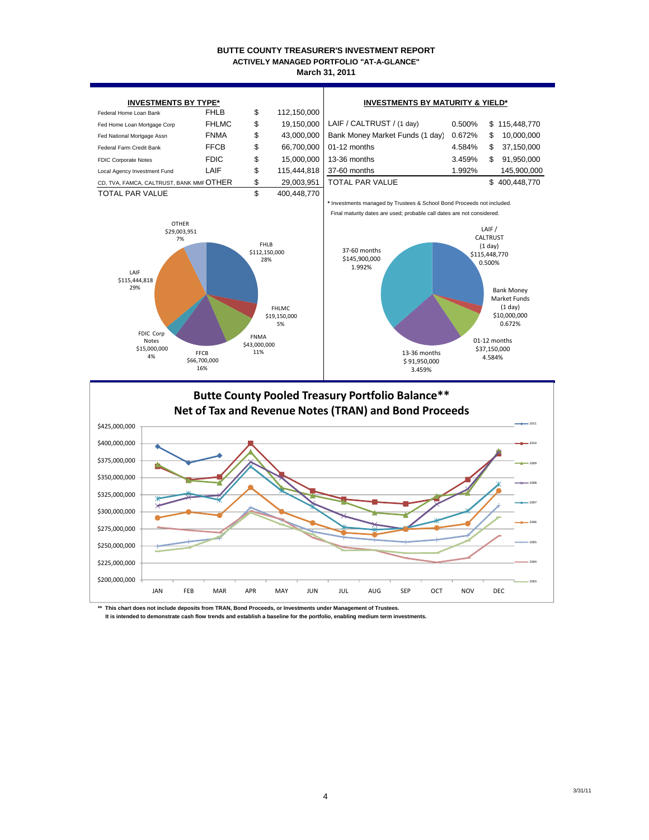#### **BUTTE COUNTY TREASURER'S INVESTMENT REPORT March 31, 2011 ACTIVELY MANAGED PORTFOLIO "AT-A-GLANCE"**





**\*\* This chart does not include deposits from TRAN, Bond Proceeds, or Investments under Management of Trustees.** It is intended to demonstrate cash flow trends and establish a baseline for the portfolio, enabling medium term investment

3/31/11